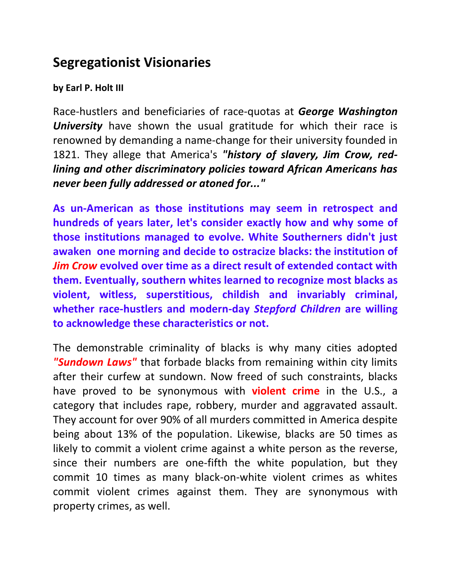## **Segregationist Visionaries**

## **by Earl P. Holt III**

Race-hustlers and beneficiaries of race-quotas at *George Washington University* have shown the usual gratitude for which their race is renowned by demanding a name-change for their university founded in 1821. They allege that America's *"history of slavery, Jim Crow, redlining and other discriminatory policies toward African Americans has never been fully addressed or atoned for..."*

**As un-American as those institutions may seem in retrospect and hundreds of years later, let's consider exactly how and why some of those institutions managed to evolve. White Southerners didn't just awaken one morning and decide to ostracize blacks: the institution of**  *Jim Crow* **evolved over time as a direct result of extended contact with them. Eventually, southern whites learned to recognize most blacks as violent, witless, superstitious, childish and invariably criminal, whether race-hustlers and modern-day** *Stepford Children* **are willing to acknowledge these characteristics or not.** 

The demonstrable criminality of blacks is why many cities adopted *"Sundown Laws"* that forbade blacks from remaining within city limits after their curfew at sundown. Now freed of such constraints, blacks have proved to be synonymous with **violent crime** in the U.S., a category that includes rape, robbery, murder and aggravated assault. They account for over 90% of all murders committed in America despite being about 13% of the population. Likewise, blacks are 50 times as likely to commit a violent crime against a white person as the reverse, since their numbers are one-fifth the white population, but they commit 10 times as many black-on-white violent crimes as whites commit violent crimes against them. They are synonymous with property crimes, as well.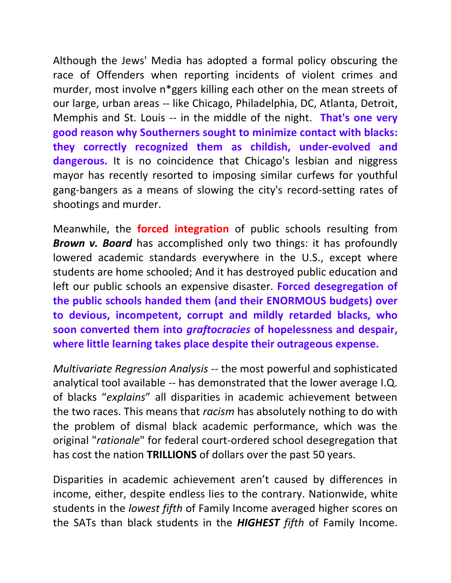Although the Jews' Media has adopted a formal policy obscuring the race of Offenders when reporting incidents of violent crimes and murder, most involve n\*ggers killing each other on the mean streets of our large, urban areas -- like Chicago, Philadelphia, DC, Atlanta, Detroit, Memphis and St. Louis -- in the middle of the night. **That's one very good reason why Southerners sought to minimize contact with blacks: they correctly recognized them as childish, under-evolved and dangerous.** It is no coincidence that Chicago's lesbian and niggress mayor has recently resorted to imposing similar curfews for youthful gang-bangers as a means of slowing the city's record-setting rates of shootings and murder.

Meanwhile, the **forced integration** of public schools resulting from *Brown v. Board* has accomplished only two things: it has profoundly lowered academic standards everywhere in the U.S., except where students are home schooled; And it has destroyed public education and left our public schools an expensive disaster. **Forced desegregation of the public schools handed them (and their ENORMOUS budgets) over to devious, incompetent, corrupt and mildly retarded blacks, who soon converted them into** *graftocracies* **of hopelessness and despair, where little learning takes place despite their outrageous expense.** 

*Multivariate Regression Analysis* -- the most powerful and sophisticated analytical tool available -- has demonstrated that the lower average I.Q. of blacks "*explains*" all disparities in academic achievement between the two races. This means that *racism* has absolutely nothing to do with the problem of dismal black academic performance, which was the original "*rationale*" for federal court-ordered school desegregation that has cost the nation **TRILLIONS** of dollars over the past 50 years.

Disparities in academic achievement aren't caused by differences in income, either, despite endless lies to the contrary. Nationwide, white students in the *lowest fifth* of Family Income averaged higher scores on the SATs than black students in the *HIGHEST fifth* of Family Income.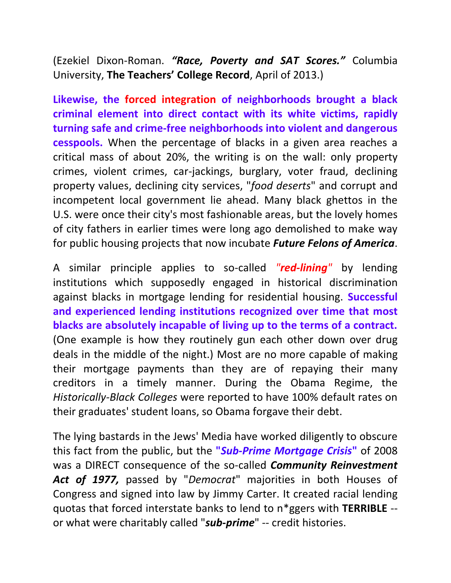(Ezekiel Dixon-Roman. *"Race, Poverty and SAT Scores."* Columbia University, **The Teachers' College Record**, April of 2013.)

**Likewise, the forced integration of neighborhoods brought a black criminal element into direct contact with its white victims, rapidly turning safe and crime-free neighborhoods into violent and dangerous cesspools.** When the percentage of blacks in a given area reaches a critical mass of about 20%, the writing is on the wall: only property crimes, violent crimes, car-jackings, burglary, voter fraud, declining property values, declining city services, "*food deserts*" and corrupt and incompetent local government lie ahead. Many black ghettos in the U.S. were once their city's most fashionable areas, but the lovely homes of city fathers in earlier times were long ago demolished to make way for public housing projects that now incubate *Future Felons of America*.

A similar principle applies to so-called *"red-lining"* by lending institutions which supposedly engaged in historical discrimination against blacks in mortgage lending for residential housing. **Successful and experienced lending institutions recognized over time that most blacks are absolutely incapable of living up to the terms of a contract.** (One example is how they routinely gun each other down over drug deals in the middle of the night.) Most are no more capable of making their mortgage payments than they are of repaying their many creditors in a timely manner. During the Obama Regime, the *Historically-Black Colleges* were reported to have 100% default rates on their graduates' student loans, so Obama forgave their debt.

The lying bastards in the Jews' Media have worked diligently to obscure this fact from the public, but the **"***Sub-Prime Mortgage Crisis***"** of 2008 was a DIRECT consequence of the so-called *Community Reinvestment Act of 1977,* passed by "*Democrat*" majorities in both Houses of Congress and signed into law by Jimmy Carter. It created racial lending quotas that forced interstate banks to lend to n\*ggers with **TERRIBLE** - or what were charitably called "*sub-prime*" -- credit histories.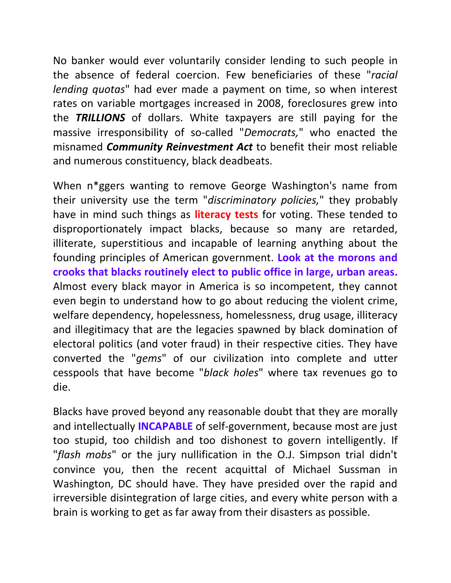No banker would ever voluntarily consider lending to such people in the absence of federal coercion. Few beneficiaries of these "*racial lending quotas*" had ever made a payment on time, so when interest rates on variable mortgages increased in 2008, foreclosures grew into the *TRILLIONS* of dollars. White taxpayers are still paying for the massive irresponsibility of so-called "*Democrats,*" who enacted the misnamed *Community Reinvestment Act* to benefit their most reliable and numerous constituency, black deadbeats.

When n\*ggers wanting to remove George Washington's name from their university use the term "*discriminatory policies,*" they probably have in mind such things as **literacy tests** for voting. These tended to disproportionately impact blacks, because so many are retarded, illiterate, superstitious and incapable of learning anything about the founding principles of American government. **Look at the morons and crooks that blacks routinely elect to public office in large, urban areas.** Almost every black mayor in America is so incompetent, they cannot even begin to understand how to go about reducing the violent crime, welfare dependency, hopelessness, homelessness, drug usage, illiteracy and illegitimacy that are the legacies spawned by black domination of electoral politics (and voter fraud) in their respective cities. They have converted the "*gems*" of our civilization into complete and utter cesspools that have become "*black holes*" where tax revenues go to die.

Blacks have proved beyond any reasonable doubt that they are morally and intellectually **INCAPABLE** of self-government, because most are just too stupid, too childish and too dishonest to govern intelligently. If "*flash mobs*" or the jury nullification in the O.J. Simpson trial didn't convince you, then the recent acquittal of Michael Sussman in Washington, DC should have. They have presided over the rapid and irreversible disintegration of large cities, and every white person with a brain is working to get as far away from their disasters as possible.